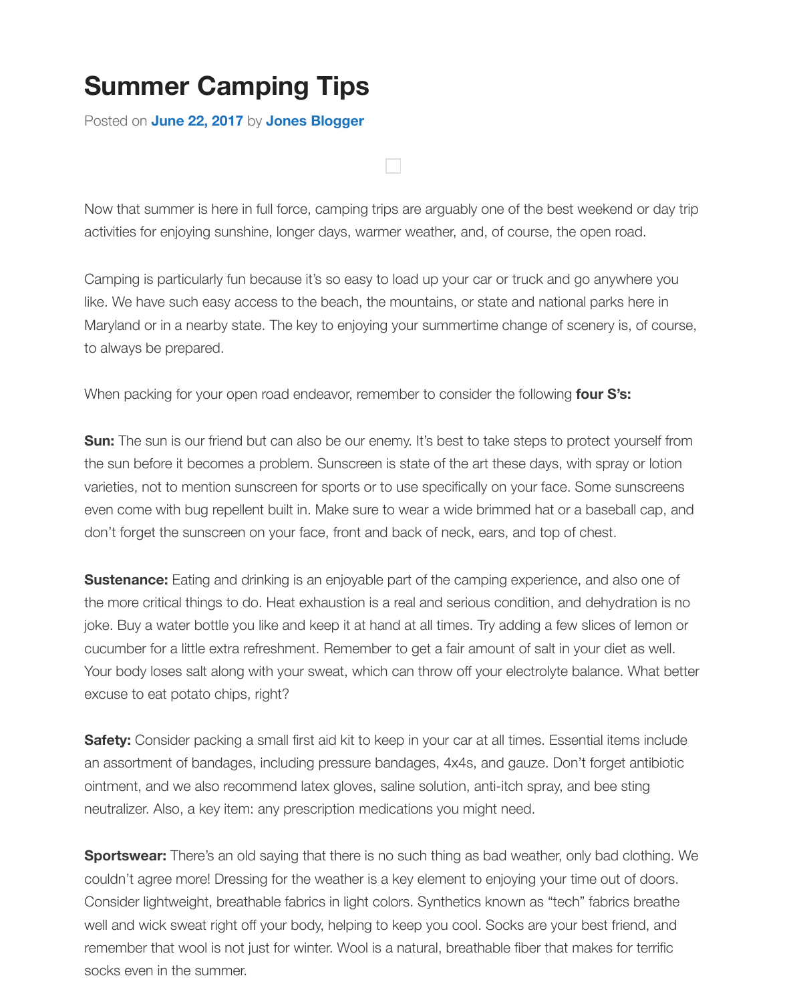Now that summer is here in full force, camping trips are arguably one of the best weekend or da activities for enjoying sunshine, longer days, warmer weather, and, of course, the open road.

Camping is particularly fun because it's so easy to load up your car or truck and go anywhere you like. We have such easy access to the beach, the mountains, or state and national parks here in Maryland or in a nearby state. The key to enjoying your summertime change of scenery is, of cor to always be prepared.

When packing for your open road endeavor, remember to consider the following **four S's:**

**Sun:** The sun is our friend but can also be our enemy. It's best to take steps to protect yourself f the sun before it becomes a problem. Sunscreen is state of the art these days, with spray or lotion varieties, not to mention sunscreen for sports or to use specifically on your face. Some sunscree even come with bug repellent built in. Make sure to wear a wide brimmed hat or a baseball cap, don't forget the sunscreen on your face, front and back of neck, ears, and top of chest.

**Sustenance:** Eating and drinking is an enjoyable part of the camping experience, and also one the more critical things to do. Heat exhaustion is a real and serious condition, and dehydration is joke. Buy a water bottle you like and keep it at hand at all times. Try adding a few slices of lemor cucumber for a little extra refreshment. Remember to get a fair amount of salt in your diet as well. Your body loses salt along with your sweat, which can throw off your electrolyte balance. What k excuse to eat potato chips, right?

**Safety:** Consider packing a small first aid kit to keep in your car at all times. Essential items inclu an assortment of bandages, including pressure bandages, 4x4s, and gauze. Don't forget antibic ointment, and we also recommend latex gloves, saline solution, anti-itch spray, and bee sting neutralizer. Also, a key item: any prescription medications you might need.

**Sportswear:** There's an old saying that there is no such thing as bad weather, only bad clothing couldn't agree more! Dressing for the weather is a key element to enjoying your time out of door Consider lightweight, breathable fabrics in light colors. Synthetics known as "tech" fabrics breath well and wick sweat right off your body, helping to keep you cool. Socks are your best friend, an remember that wool is not just for winter. Wool is a natural, breathable fiber that makes for terrific socks even in the summer.